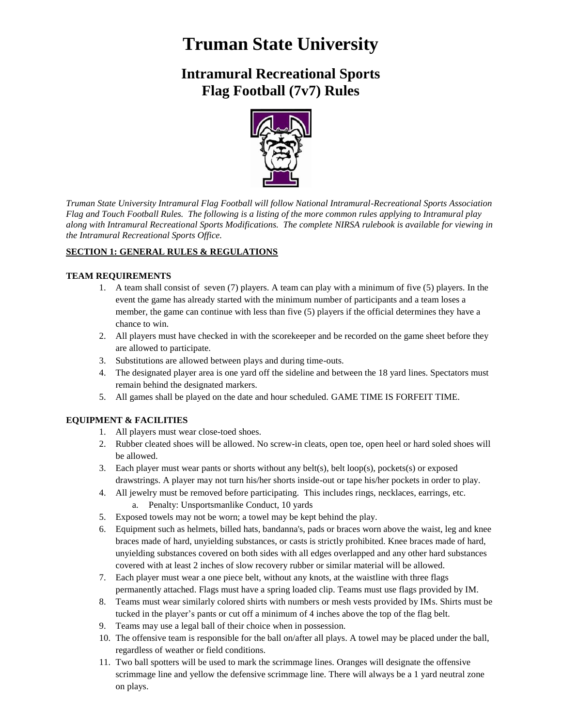# **Truman State University**

# **Intramural Recreational Sports Flag Football (7v7) Rules**



*Truman State University Intramural Flag Football will follow National Intramural-Recreational Sports Association Flag and Touch Football Rules. The following is a listing of the more common rules applying to Intramural play along with Intramural Recreational Sports Modifications. The complete NIRSA rulebook is available for viewing in the Intramural Recreational Sports Office.*

# **SECTION 1: GENERAL RULES & REGULATIONS**

#### **TEAM REQUIREMENTS**

- 1. A team shall consist of seven (7) players. A team can play with a minimum of five (5) players. In the event the game has already started with the minimum number of participants and a team loses a member, the game can continue with less than five (5) players if the official determines they have a chance to win.
- 2. All players must have checked in with the scorekeeper and be recorded on the game sheet before they are allowed to participate.
- 3. Substitutions are allowed between plays and during time-outs.
- 4. The designated player area is one yard off the sideline and between the 18 yard lines. Spectators must remain behind the designated markers.
- 5. All games shall be played on the date and hour scheduled. GAME TIME IS FORFEIT TIME.

# **EQUIPMENT & FACILITIES**

- 1. All players must wear close-toed shoes.
- 2. Rubber cleated shoes will be allowed. No screw-in cleats, open toe, open heel or hard soled shoes will be allowed.
- 3. Each player must wear pants or shorts without any belt(s), belt loop(s), pockets(s) or exposed drawstrings. A player may not turn his/her shorts inside-out or tape his/her pockets in order to play.
- 4. All jewelry must be removed before participating. This includes rings, necklaces, earrings, etc.
	- a. Penalty: Unsportsmanlike Conduct, 10 yards
- 5. Exposed towels may not be worn; a towel may be kept behind the play.
- 6. Equipment such as helmets, billed hats, bandanna's, pads or braces worn above the waist, leg and knee braces made of hard, unyielding substances, or casts is strictly prohibited. Knee braces made of hard, unyielding substances covered on both sides with all edges overlapped and any other hard substances covered with at least 2 inches of slow recovery rubber or similar material will be allowed.
- 7. Each player must wear a one piece belt, without any knots, at the waistline with three flags permanently attached. Flags must have a spring loaded clip. Teams must use flags provided by IM.
- 8. Teams must wear similarly colored shirts with numbers or mesh vests provided by IMs. Shirts must be tucked in the player's pants or cut off a minimum of 4 inches above the top of the flag belt.
- 9. Teams may use a legal ball of their choice when in possession.
- 10. The offensive team is responsible for the ball on/after all plays. A towel may be placed under the ball, regardless of weather or field conditions.
- 11. Two ball spotters will be used to mark the scrimmage lines. Oranges will designate the offensive scrimmage line and yellow the defensive scrimmage line. There will always be a 1 yard neutral zone on plays.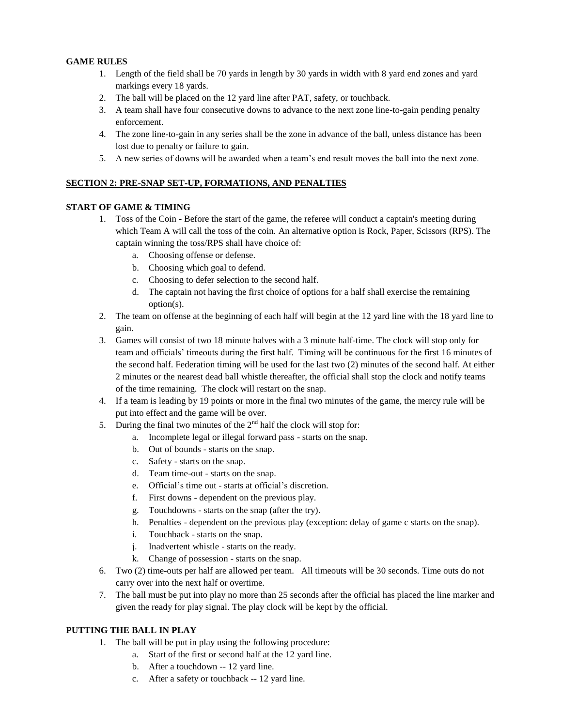#### **GAME RULES**

- 1. Length of the field shall be 70 yards in length by 30 yards in width with 8 yard end zones and yard markings every 18 yards.
- 2. The ball will be placed on the 12 yard line after PAT, safety, or touchback.
- 3. A team shall have four consecutive downs to advance to the next zone line-to-gain pending penalty enforcement.
- 4. The zone line-to-gain in any series shall be the zone in advance of the ball, unless distance has been lost due to penalty or failure to gain.
- 5. A new series of downs will be awarded when a team's end result moves the ball into the next zone.

#### **SECTION 2: PRE-SNAP SET-UP, FORMATIONS, AND PENALTIES**

#### **START OF GAME & TIMING**

- 1. Toss of the Coin Before the start of the game, the referee will conduct a captain's meeting during which Team A will call the toss of the coin. An alternative option is Rock, Paper, Scissors (RPS). The captain winning the toss/RPS shall have choice of:
	- a. Choosing offense or defense.
	- b. Choosing which goal to defend.
	- c. Choosing to defer selection to the second half.
	- d. The captain not having the first choice of options for a half shall exercise the remaining option(s).
- 2. The team on offense at the beginning of each half will begin at the 12 yard line with the 18 yard line to gain.
- 3. Games will consist of two 18 minute halves with a 3 minute half-time. The clock will stop only for team and officials' timeouts during the first half. Timing will be continuous for the first 16 minutes of the second half. Federation timing will be used for the last two (2) minutes of the second half. At either 2 minutes or the nearest dead ball whistle thereafter, the official shall stop the clock and notify teams of the time remaining. The clock will restart on the snap.
- 4. If a team is leading by 19 points or more in the final two minutes of the game, the mercy rule will be put into effect and the game will be over.
- 5. During the final two minutes of the  $2<sup>nd</sup>$  half the clock will stop for:
	- a. Incomplete legal or illegal forward pass starts on the snap.
	- b. Out of bounds starts on the snap.
	- c. Safety starts on the snap.
	- d. Team time-out starts on the snap.
	- e. Official's time out starts at official's discretion.
	- f. First downs dependent on the previous play.
	- g. Touchdowns starts on the snap (after the try).
	- h. Penalties dependent on the previous play (exception: delay of game c starts on the snap).
	- i. Touchback starts on the snap.
	- j. Inadvertent whistle starts on the ready.
	- k. Change of possession starts on the snap.
- 6. Two (2) time-outs per half are allowed per team. All timeouts will be 30 seconds. Time outs do not carry over into the next half or overtime.
- 7. The ball must be put into play no more than 25 seconds after the official has placed the line marker and given the ready for play signal. The play clock will be kept by the official.

### **PUTTING THE BALL IN PLAY**

- 1. The ball will be put in play using the following procedure:
	- a. Start of the first or second half at the 12 yard line.
	- b. After a touchdown -- 12 yard line.
	- c. After a safety or touchback -- 12 yard line.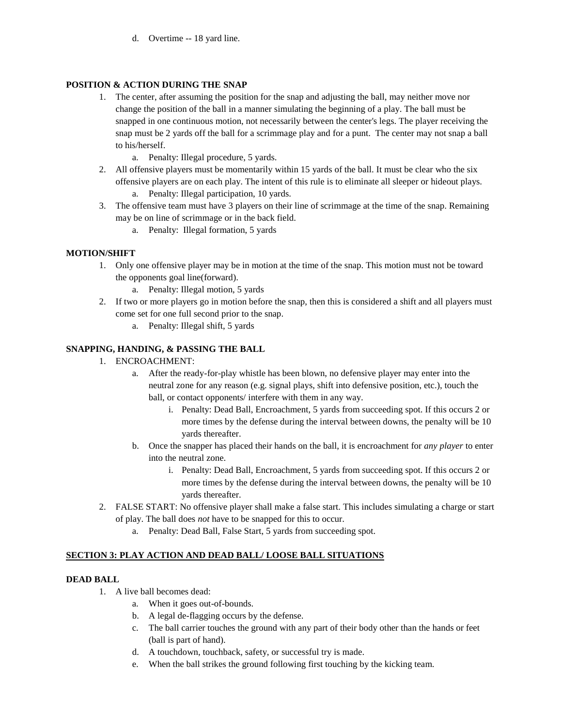d. Overtime -- 18 yard line.

### **POSITION & ACTION DURING THE SNAP**

- 1. The center, after assuming the position for the snap and adjusting the ball, may neither move nor change the position of the ball in a manner simulating the beginning of a play. The ball must be snapped in one continuous motion, not necessarily between the center's legs. The player receiving the snap must be 2 yards off the ball for a scrimmage play and for a punt. The center may not snap a ball to his/herself.
	- a. Penalty: Illegal procedure, 5 yards.
- 2. All offensive players must be momentarily within 15 yards of the ball. It must be clear who the six offensive players are on each play. The intent of this rule is to eliminate all sleeper or hideout plays.
	- a. Penalty: Illegal participation, 10 yards.
- 3. The offensive team must have 3 players on their line of scrimmage at the time of the snap. Remaining may be on line of scrimmage or in the back field.
	- a. Penalty: Illegal formation, 5 yards

# **MOTION/SHIFT**

- 1. Only one offensive player may be in motion at the time of the snap. This motion must not be toward the opponents goal line(forward).
	- a. Penalty: Illegal motion, 5 yards
- 2. If two or more players go in motion before the snap, then this is considered a shift and all players must come set for one full second prior to the snap.
	- a. Penalty: Illegal shift, 5 yards

# **SNAPPING, HANDING, & PASSING THE BALL**

- 1. ENCROACHMENT:
	- a. After the ready-for-play whistle has been blown, no defensive player may enter into the neutral zone for any reason (e.g. signal plays, shift into defensive position, etc.), touch the ball, or contact opponents/ interfere with them in any way.
		- i. Penalty: Dead Ball, Encroachment, 5 yards from succeeding spot. If this occurs 2 or more times by the defense during the interval between downs, the penalty will be 10 yards thereafter.
	- b. Once the snapper has placed their hands on the ball, it is encroachment for *any player* to enter into the neutral zone.
		- i. Penalty: Dead Ball, Encroachment, 5 yards from succeeding spot. If this occurs 2 or more times by the defense during the interval between downs, the penalty will be 10 yards thereafter.
- 2. FALSE START: No offensive player shall make a false start. This includes simulating a charge or start of play. The ball does *not* have to be snapped for this to occur.
	- a. Penalty: Dead Ball, False Start, 5 yards from succeeding spot.

# **SECTION 3: PLAY ACTION AND DEAD BALL/ LOOSE BALL SITUATIONS**

#### **DEAD BALL**

- 1. A live ball becomes dead:
	- a. When it goes out-of-bounds.
	- b. A legal de-flagging occurs by the defense.
	- c. The ball carrier touches the ground with any part of their body other than the hands or feet (ball is part of hand).
	- d. A touchdown, touchback, safety, or successful try is made.
	- e. When the ball strikes the ground following first touching by the kicking team.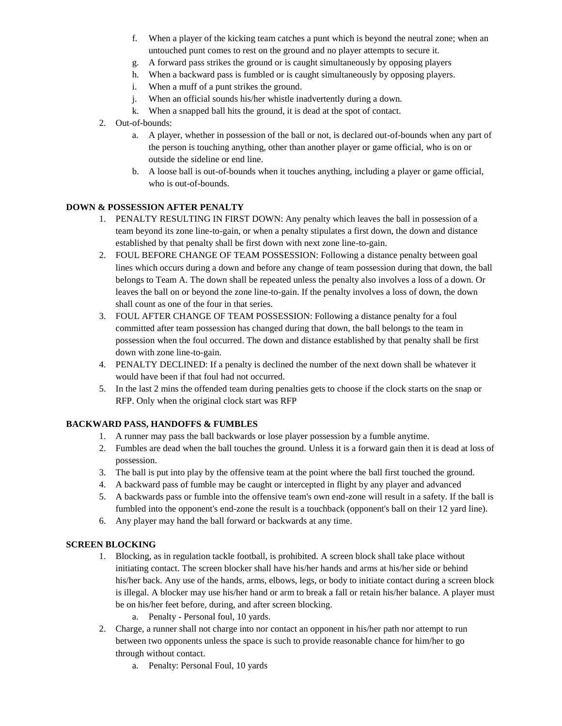- f. When a player of the kicking team catches a punt which is beyond the neutral zone; when an untouched punt comes to rest on the ground and no player attempts to secure it.
- g. A forward pass strikes the ground or is caught simultaneously by opposing players
- h. When a backward pass is fumbled or is caught simultaneously by opposing players.
- i. When a muff of a punt strikes the ground.
- j. When an official sounds his/her whistle inadvertently during a down.
- k. When a snapped ball hits the ground, it is dead at the spot of contact.
- 2. Out-of-bounds:
	- a. A player, whether in possession of the ball or not, is declared out-of-bounds when any part of the person is touching anything, other than another player or game official, who is on or outside the sideline or end line.
	- b. A loose ball is out-of-bounds when it touches anything, including a player or game official, who is out-of-bounds.

### **DOWN & POSSESSION AFTER PENALTY**

- 1. PENALTY RESULTING IN FIRST DOWN: Any penalty which leaves the ball in possession of a team beyond its zone line-to-gain, or when a penalty stipulates a first down, the down and distance established by that penalty shall be first down with next zone line-to-gain.
- 2. FOUL BEFORE CHANGE OF TEAM POSSESSION: Following a distance penalty between goal lines which occurs during a down and before any change of team possession during that down, the ball belongs to Team A. The down shall be repeated unless the penalty also involves a loss of a down. Or leaves the ball on or beyond the zone line-to-gain. If the penalty involves a loss of down, the down shall count as one of the four in that series.
- 3. FOUL AFTER CHANGE OF TEAM POSSESSION: Following a distance penalty for a foul committed after team possession has changed during that down, the ball belongs to the team in possession when the foul occurred. The down and distance established by that penalty shall be first down with zone line-to-gain.
- 4. PENALTY DECLINED: If a penalty is declined the number of the next down shall be whatever it would have been if that foul had not occurred.
- 5. In the last 2 mins the offended team during penalties gets to choose if the clock starts on the snap or RFP. Only when the original clock start was RFP

#### **BACKWARD PASS, HANDOFFS & FUMBLES**

- 1. A runner may pass the ball backwards or lose player possession by a fumble anytime.
- 2. Fumbles are dead when the ball touches the ground. Unless it is a forward gain then it is dead at loss of possession.
- 3. The ball is put into play by the offensive team at the point where the ball first touched the ground.
- 4. A backward pass of fumble may be caught or intercepted in flight by any player and advanced
- 5. A backwards pass or fumble into the offensive team's own end-zone will result in a safety. If the ball is fumbled into the opponent's end-zone the result is a touchback (opponent's ball on their 12 yard line).
- 6. Any player may hand the ball forward or backwards at any time.

# **SCREEN BLOCKING**

- 1. Blocking, as in regulation tackle football, is prohibited. A screen block shall take place without initiating contact. The screen blocker shall have his/her hands and arms at his/her side or behind his/her back. Any use of the hands, arms, elbows, legs, or body to initiate contact during a screen block is illegal. A blocker may use his/her hand or arm to break a fall or retain his/her balance. A player must be on his/her feet before, during, and after screen blocking.
	- a. Penalty Personal foul, 10 yards.
- 2. Charge, a runner shall not charge into nor contact an opponent in his/her path nor attempt to run between two opponents unless the space is such to provide reasonable chance for him/her to go through without contact.
	- a. Penalty: Personal Foul, 10 yards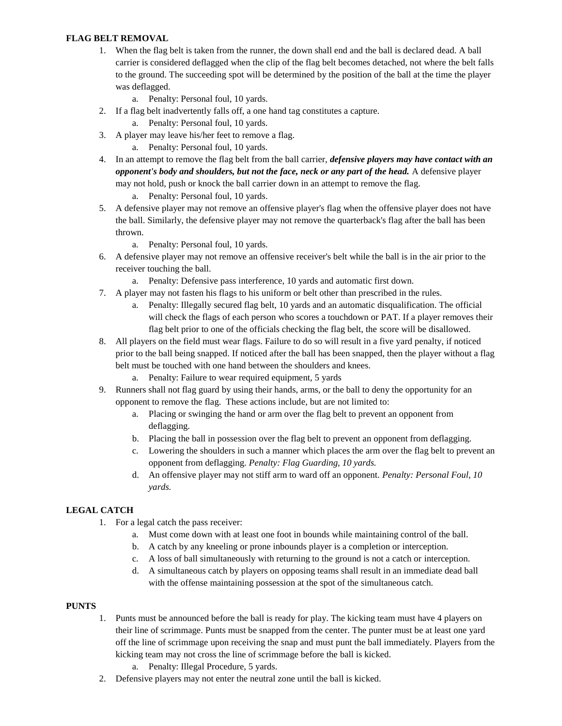### **FLAG BELT REMOVAL**

- 1. When the flag belt is taken from the runner, the down shall end and the ball is declared dead. A ball carrier is considered deflagged when the clip of the flag belt becomes detached, not where the belt falls to the ground. The succeeding spot will be determined by the position of the ball at the time the player was deflagged.
	- a. Penalty: Personal foul, 10 yards.
- 2. If a flag belt inadvertently falls off, a one hand tag constitutes a capture.
	- a. Penalty: Personal foul, 10 yards.
- 3. A player may leave his/her feet to remove a flag.
	- a. Penalty: Personal foul, 10 yards.
- 4. In an attempt to remove the flag belt from the ball carrier, *defensive players may have contact with an opponent's body and shoulders, but not the face, neck or any part of the head.* A defensive player may not hold, push or knock the ball carrier down in an attempt to remove the flag.
	- a. Penalty: Personal foul, 10 yards.
- 5. A defensive player may not remove an offensive player's flag when the offensive player does not have the ball. Similarly, the defensive player may not remove the quarterback's flag after the ball has been thrown.
	- a. Penalty: Personal foul, 10 yards.
- 6. A defensive player may not remove an offensive receiver's belt while the ball is in the air prior to the receiver touching the ball.
	- a. Penalty: Defensive pass interference, 10 yards and automatic first down.
- 7. A player may not fasten his flags to his uniform or belt other than prescribed in the rules.
	- a. Penalty: Illegally secured flag belt, 10 yards and an automatic disqualification. The official will check the flags of each person who scores a touchdown or PAT. If a player removes their flag belt prior to one of the officials checking the flag belt, the score will be disallowed.
- 8. All players on the field must wear flags. Failure to do so will result in a five yard penalty, if noticed prior to the ball being snapped. If noticed after the ball has been snapped, then the player without a flag belt must be touched with one hand between the shoulders and knees.
	- a. Penalty: Failure to wear required equipment, 5 yards
- 9. Runners shall not flag guard by using their hands, arms, or the ball to deny the opportunity for an opponent to remove the flag. These actions include, but are not limited to:
	- a. Placing or swinging the hand or arm over the flag belt to prevent an opponent from deflagging.
	- b. Placing the ball in possession over the flag belt to prevent an opponent from deflagging.
	- c. Lowering the shoulders in such a manner which places the arm over the flag belt to prevent an opponent from deflagging. *Penalty: Flag Guarding, 10 yards.*
	- d. An offensive player may not stiff arm to ward off an opponent. *Penalty: Personal Foul, 10 yards.*

# **LEGAL CATCH**

- 1. For a legal catch the pass receiver:
	- a. Must come down with at least one foot in bounds while maintaining control of the ball.
	- b. A catch by any kneeling or prone inbounds player is a completion or interception.
	- c. A loss of ball simultaneously with returning to the ground is not a catch or interception.
	- d. A simultaneous catch by players on opposing teams shall result in an immediate dead ball with the offense maintaining possession at the spot of the simultaneous catch.

#### **PUNTS**

- 1. Punts must be announced before the ball is ready for play. The kicking team must have 4 players on their line of scrimmage. Punts must be snapped from the center. The punter must be at least one yard off the line of scrimmage upon receiving the snap and must punt the ball immediately. Players from the kicking team may not cross the line of scrimmage before the ball is kicked.
	- a. Penalty: Illegal Procedure, 5 yards.
- 2. Defensive players may not enter the neutral zone until the ball is kicked.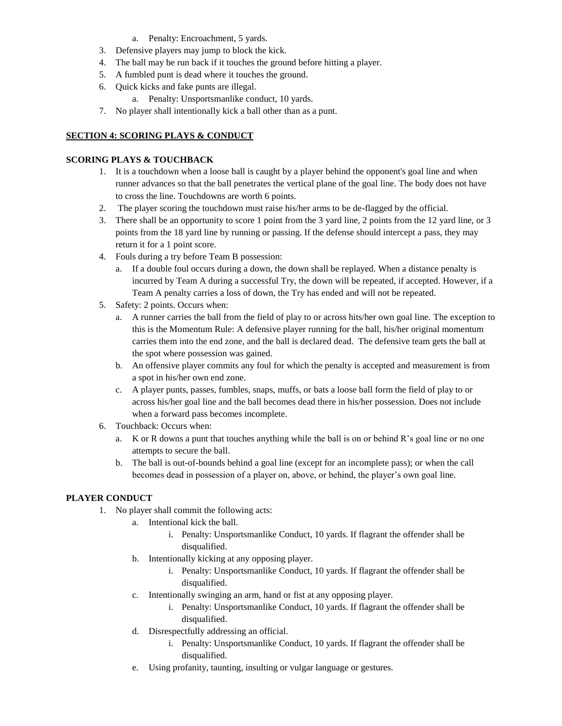- a. Penalty: Encroachment, 5 yards.
- 3. Defensive players may jump to block the kick.
- 4. The ball may be run back if it touches the ground before hitting a player.
- 5. A fumbled punt is dead where it touches the ground.
- 6. Quick kicks and fake punts are illegal.
	- a. Penalty: Unsportsmanlike conduct, 10 yards.
- 7. No player shall intentionally kick a ball other than as a punt.

#### **SECTION 4: SCORING PLAYS & CONDUCT**

#### **SCORING PLAYS & TOUCHBACK**

- 1. It is a touchdown when a loose ball is caught by a player behind the opponent's goal line and when runner advances so that the ball penetrates the vertical plane of the goal line. The body does not have to cross the line. Touchdowns are worth 6 points.
- 2. The player scoring the touchdown must raise his/her arms to be de-flagged by the official.
- 3. There shall be an opportunity to score 1 point from the 3 yard line, 2 points from the 12 yard line, or 3 points from the 18 yard line by running or passing. If the defense should intercept a pass, they may return it for a 1 point score.
- 4. Fouls during a try before Team B possession:
	- a. If a double foul occurs during a down, the down shall be replayed. When a distance penalty is incurred by Team A during a successful Try, the down will be repeated, if accepted. However, if a Team A penalty carries a loss of down, the Try has ended and will not be repeated.
- 5. Safety: 2 points. Occurs when:
	- a. A runner carries the ball from the field of play to or across hits/her own goal line. The exception to this is the Momentum Rule: A defensive player running for the ball, his/her original momentum carries them into the end zone, and the ball is declared dead. The defensive team gets the ball at the spot where possession was gained.
	- b. An offensive player commits any foul for which the penalty is accepted and measurement is from a spot in his/her own end zone.
	- c. A player punts, passes, fumbles, snaps, muffs, or bats a loose ball form the field of play to or across his/her goal line and the ball becomes dead there in his/her possession. Does not include when a forward pass becomes incomplete.
- 6. Touchback: Occurs when:
	- a. K or R downs a punt that touches anything while the ball is on or behind R's goal line or no one attempts to secure the ball.
	- b. The ball is out-of-bounds behind a goal line (except for an incomplete pass); or when the call becomes dead in possession of a player on, above, or behind, the player's own goal line.

# **PLAYER CONDUCT**

- 1. No player shall commit the following acts:
	- a. Intentional kick the ball.
		- i. Penalty: Unsportsmanlike Conduct, 10 yards. If flagrant the offender shall be disqualified.
		- b. Intentionally kicking at any opposing player.
			- i. Penalty: Unsportsmanlike Conduct, 10 yards. If flagrant the offender shall be disqualified.
		- c. Intentionally swinging an arm, hand or fist at any opposing player.
			- i. Penalty: Unsportsmanlike Conduct, 10 yards. If flagrant the offender shall be disqualified.
		- d. Disrespectfully addressing an official.
			- i. Penalty: Unsportsmanlike Conduct, 10 yards. If flagrant the offender shall be disqualified.
		- e. Using profanity, taunting, insulting or vulgar language or gestures.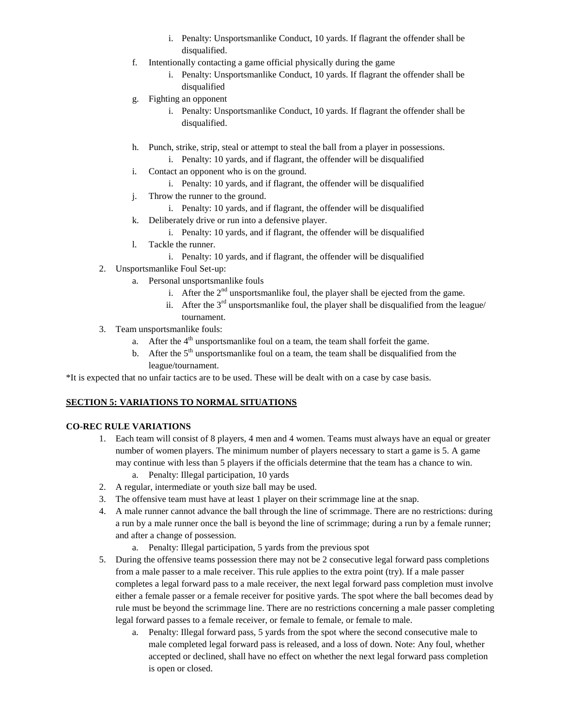- i. Penalty: Unsportsmanlike Conduct, 10 yards. If flagrant the offender shall be disqualified.
- f. Intentionally contacting a game official physically during the game
	- i. Penalty: Unsportsmanlike Conduct, 10 yards. If flagrant the offender shall be disqualified
- g. Fighting an opponent
	- i. Penalty: Unsportsmanlike Conduct, 10 yards. If flagrant the offender shall be disqualified.
- h. Punch, strike, strip, steal or attempt to steal the ball from a player in possessions.
	- i. Penalty: 10 yards, and if flagrant, the offender will be disqualified
- i. Contact an opponent who is on the ground.
	- i. Penalty: 10 yards, and if flagrant, the offender will be disqualified
- j. Throw the runner to the ground.
	- i. Penalty: 10 yards, and if flagrant, the offender will be disqualified
- k. Deliberately drive or run into a defensive player.
	- i. Penalty: 10 yards, and if flagrant, the offender will be disqualified
- l. Tackle the runner.
	- i. Penalty: 10 yards, and if flagrant, the offender will be disqualified
- 2. Unsportsmanlike Foul Set-up:
	- a. Personal unsportsmanlike fouls
		- i. After the  $2<sup>nd</sup>$  unsportsmanlike foul, the player shall be ejected from the game.
		- ii. After the  $3<sup>rd</sup>$  unsportsmanlike foul, the player shall be disqualified from the league/ tournament.
- 3. Team unsportsmanlike fouls:
	- a. After the  $4<sup>th</sup>$  unsportsmanlike foul on a team, the team shall forfeit the game.
	- b. After the  $5<sup>th</sup>$  unsportsmanlike foul on a team, the team shall be disqualified from the league/tournament.

\*It is expected that no unfair tactics are to be used. These will be dealt with on a case by case basis.

# **SECTION 5: VARIATIONS TO NORMAL SITUATIONS**

### **CO-REC RULE VARIATIONS**

- 1. Each team will consist of 8 players, 4 men and 4 women. Teams must always have an equal or greater number of women players. The minimum number of players necessary to start a game is 5. A game may continue with less than 5 players if the officials determine that the team has a chance to win.
	- a. Penalty: Illegal participation, 10 yards
- 2. A regular, intermediate or youth size ball may be used.
- 3. The offensive team must have at least 1 player on their scrimmage line at the snap.
- 4. A male runner cannot advance the ball through the line of scrimmage. There are no restrictions: during a run by a male runner once the ball is beyond the line of scrimmage; during a run by a female runner; and after a change of possession.
	- a. Penalty: Illegal participation, 5 yards from the previous spot
- 5. During the offensive teams possession there may not be 2 consecutive legal forward pass completions from a male passer to a male receiver. This rule applies to the extra point (try). If a male passer completes a legal forward pass to a male receiver, the next legal forward pass completion must involve either a female passer or a female receiver for positive yards. The spot where the ball becomes dead by rule must be beyond the scrimmage line. There are no restrictions concerning a male passer completing legal forward passes to a female receiver, or female to female, or female to male.
	- a. Penalty: Illegal forward pass, 5 yards from the spot where the second consecutive male to male completed legal forward pass is released, and a loss of down. Note: Any foul, whether accepted or declined, shall have no effect on whether the next legal forward pass completion is open or closed.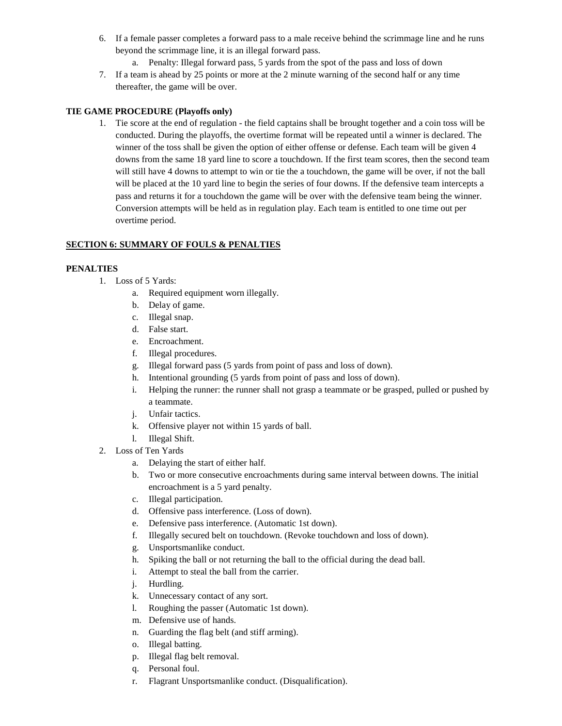- 6. If a female passer completes a forward pass to a male receive behind the scrimmage line and he runs beyond the scrimmage line, it is an illegal forward pass.
	- a. Penalty: Illegal forward pass, 5 yards from the spot of the pass and loss of down
- 7. If a team is ahead by 25 points or more at the 2 minute warning of the second half or any time thereafter, the game will be over.

#### **TIE GAME PROCEDURE (Playoffs only)**

1. Tie score at the end of regulation - the field captains shall be brought together and a coin toss will be conducted. During the playoffs, the overtime format will be repeated until a winner is declared. The winner of the toss shall be given the option of either offense or defense. Each team will be given 4 downs from the same 18 yard line to score a touchdown. If the first team scores, then the second team will still have 4 downs to attempt to win or tie the a touchdown, the game will be over, if not the ball will be placed at the 10 yard line to begin the series of four downs. If the defensive team intercepts a pass and returns it for a touchdown the game will be over with the defensive team being the winner. Conversion attempts will be held as in regulation play. Each team is entitled to one time out per overtime period.

### **SECTION 6: SUMMARY OF FOULS & PENALTIES**

#### **PENALTIES**

- 1. Loss of 5 Yards:
	- a. Required equipment worn illegally.
	- b. Delay of game.
	- c. Illegal snap.
	- d. False start.
	- e. Encroachment.
	- f. Illegal procedures.
	- g. Illegal forward pass (5 yards from point of pass and loss of down).
	- h. Intentional grounding (5 yards from point of pass and loss of down).
	- i. Helping the runner: the runner shall not grasp a teammate or be grasped, pulled or pushed by a teammate.
	- j. Unfair tactics.
	- k. Offensive player not within 15 yards of ball.
	- l. Illegal Shift.
- 2. Loss of Ten Yards
	- a. Delaying the start of either half.
	- b. Two or more consecutive encroachments during same interval between downs. The initial encroachment is a 5 yard penalty.
	- c. Illegal participation.
	- d. Offensive pass interference. (Loss of down).
	- e. Defensive pass interference. (Automatic 1st down).
	- f. Illegally secured belt on touchdown. (Revoke touchdown and loss of down).
	- g. Unsportsmanlike conduct.
	- h. Spiking the ball or not returning the ball to the official during the dead ball.
	- i. Attempt to steal the ball from the carrier.
	- j. Hurdling.
	- k. Unnecessary contact of any sort.
	- l. Roughing the passer (Automatic 1st down).
	- m. Defensive use of hands.
	- n. Guarding the flag belt (and stiff arming).
	- o. Illegal batting.
	- p. Illegal flag belt removal.
	- q. Personal foul.
	- r. Flagrant Unsportsmanlike conduct. (Disqualification).